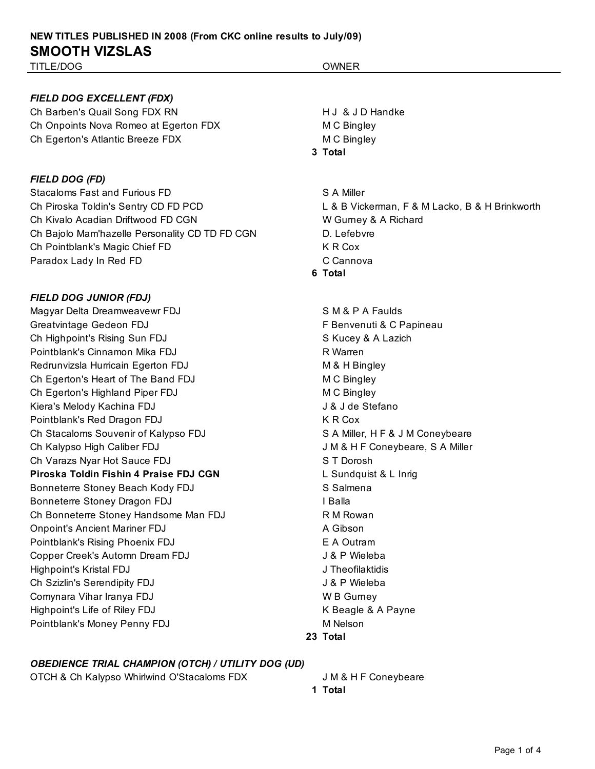#### *FIELD DOG EXCELLENT (FDX)*

Ch Barben's Quail Song FDX RN H J & J D Handke Ch Onpoints Nova Romeo at Egerton FDX M C Bingley Ch Egerton's Atlantic Breeze FDX M C Bingley

#### *FIELD DOG (FD)*

Stacaloms Fast and Furious FD Stacaloms Fast and Furious FD S A Miller Ch Piroska Toldin's Sentry CD FD PCD L & B Vickerman, F & M Lacko, B & H Brinkworth Ch Kivalo Acadian Driftwood FD CGN W W Gurney & A Richard Ch Bajolo Mam'hazelle Personality CD TD FD CGN D. Lefebvre Ch Pointblank's Magic Chief FD K R Cox Paradox Lady In Red FD Cannova

### *FIELD DOG JUNIOR (FDJ)*

Magyar Delta Dreamweavewr FDJ SAM & P A Faulds Greatvintage Gedeon FDJ **F Benvenuti & C Papineau** Ch Highpoint's Rising Sun FDJ States And States And According to the States States A Lazich Pointblank's Cinnamon Mika FDJ R Warren Redrunvizsla Hurricain Egerton FDJ M & H Bingley Ch Egerton's Heart of The Band FDJ M C Bingley Ch Egerton's Highland Piper FDJ M C Bingley Kiera's Melody Kachina FDJ **Grauus Access 1984** J & J de Stefano Pointblank's Red Dragon FDJ K R Cox Ch Stacaloms Souvenir of Kalypso FDJ SA Miller, H F & J M Coneybeare Ch Kalypso High Caliber FDJ **Challer** J M & H F Coneybeare, S A Miller Ch Varazs Nyar Hot Sauce FDJ Same State State State State State State State State State State State State State Piroska Toldin Fishin 4 Praise FDJ CGN L Sundquist & L Inrig Bonneterre Stoney Beach Kody FDJ Salmena Bonneterre Stoney Dragon FDJ **I Balla** Ch Bonneterre Stoney Handsome Man FDJ R M Rowan Onpoint's Ancient Mariner FDJ A Gibson Pointblank's Rising Phoenix FDJ **EXALL EXALL EXALL EXALL EXALL EXALL EXALL EXALL EXALL EXALL EXALL** Copper Creek's Automn Dream FDJ J& P Wieleba Highpoint's Kristal FDJ J Theofilaktidis Ch Szizlin's Serendipity FDJ 3. Ch Szizlin's Serendipity FDJ Comynara Vihar Iranya FDJ W B Gurney Highpoint's Life of Riley FDJ November 2008 A Payne Pointblank's Money Penny FDJ M Nelson

## **3 Total**

- 
- **6 Total**

**23 Total**

### *OBEDIENCE TRIAL CHAMPION (OTCH) / UTILITY DOG (UD)*

OTCH & Ch Kalypso Whirlwind O'Stacaloms FDX J M & H F Coneybeare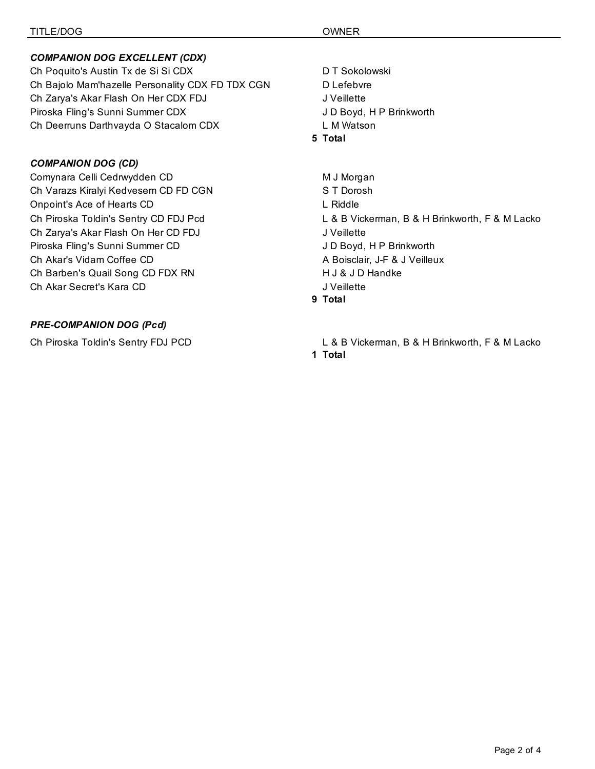## *COMPANION DOG EXCELLENT (CDX)*

Ch Poquito's Austin Tx de Si Si CDX DT Sokolowski Ch Bajolo Mam'hazelle Personality CDX FD TDX CGN D Lefebvre Ch Zarya's Akar Flash On Her CDX FDJ JU Veillette Piroska Fling's Sunni Summer CDX J D Boyd, H P Brinkworth Ch Deerruns Darthvayda O Stacalom CDX L M Watson

## *COMPANION DOG (CD)*

Comynara Celli Cedrwydden CD M J Morgan Ch Varazs Kiralyi Kedvesem CD FD CGN S T Dorosh Onpoint's Ace of Hearts CD L Riddle Ch Piroska Toldin's Sentry CD FDJ Pcd L & B Vickerman, B & H Brinkworth, F & M Lacko Ch Zarya's Akar Flash On Her CD FDJ JVeillette Piroska Fling's Sunni Summer CD J D Boyd, H P Brinkworth Ch Akar's Vidam Coffee CD **A Boisclair, J-F & J Veilleux** A Boisclair, J-F & J Veilleux Ch Barben's Quail Song CD FDX RN H J & J D Handke Ch Akar Secret's Kara CD J Veillette

## *PRE-COMPANION DOG (Pcd)*

**5 Total**

**9 Total**

- 
- Ch Piroska Toldin's Sentry FDJ PCD L & B Vickerman, B & H Brinkworth, F & M Lacko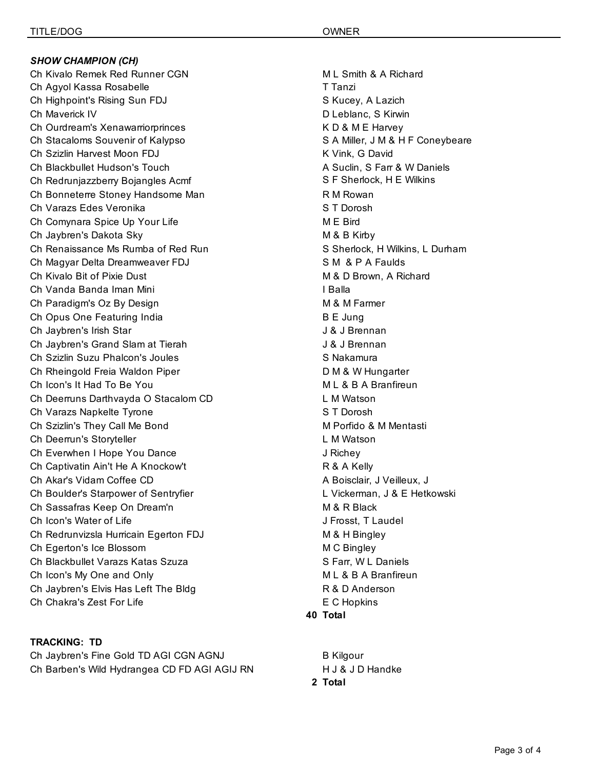*SHOW CHAMPION (CH)* Ch Kivalo Remek Red Runner CGN M L Smith & A Richard Ch Agyol Kassa Rosabelle T Tanzi Ch Highpoint's Rising Sun FDJ Same Superson States States, A Lazich Ch Maverick IV D Leblanc, S Kirwin Ch Ourdream's Xenawarriorprinces The China of K D & M E Harvey Ch Stacaloms Souvenir of Kalypso Same Charlotter States A Miller, J M & H F Coneybeare Ch Szizlin Harvest Moon FDJ K Vink, G David Ch Blackbullet Hudson's Touch A Suclin, S Farr & W Daniels Ch Redrunjazzberry Bojangles Acmf S F Sherlock, H E Wilkins Ch Bonneterre Stoney Handsome Man R M Rowan R M Rowan Ch Varazs Edes Veronika S T Dorosh Ch Comynara Spice Up Your Life M E Bird Ch Jaybren's Dakota Sky M & B Kirby Ch Renaissance Ms Rumba of Red Run States Charlock, H Wilkins, L Durham Ch Magyar Delta Dreamweaver FDJ SM & P A Faulds Ch Kivalo Bit of Pixie Dust M & D Brown, A Richard Ch Vanda Banda Iman Mini I Balla Ch Paradigm's Oz By Design M B M & M Farmer Ch Opus One Featuring India B E Jung Ch Jaybren's Irish Star J & J Brennan Ch Jaybren's Grand Slam at Tierah J & J Brennan Ch Szizlin Suzu Phalcon's Joules Shakamura Ch Rheingold Freia Waldon Piper **D M & W Hungarter** D M & W Hungarter Ch Icon's It Had To Be You M L & B A Branfireun Ch Deerruns Darthvayda O Stacalom CD L M Watson Ch Varazs Napkelte Tyrone S T Dorosh Ch Szizlin's They Call Me Bond M Changes M Porfido & M Mentasti Ch Deerrun's Storyteller L M Watson Ch Everwhen I Hope You Dance **J** Richey Ch Captivatin Ain't He A Knockow't R & A Kelly Ch Akar's Vidam Coffee CD **A Boisclair**, J Veilleux, J Veilleux, J Ch Boulder's Starpower of Sentryfier Line Charles L. Vickerman, J & E Hetkowski Ch Sassafras Keep On Dream'n M 3 R Black Ch Icon's Water of Life  $\Box$  The J Frosst, T Laudel Ch Redrunvizsla Hurricain Egerton FDJ M & H Bingley Ch Egerton's Ice Blossom **M** C Bingley Ch Blackbullet Varazs Katas Szuza Santas Santas Santas Studies Studies Studies Studies Studies Studies Studies Ch Icon's My One and Only **M** L & B A Branfireun Ch Jaybren's Elvis Has Left The Bldg **R** & D Anderson Ch Chakra's Zest For Life **Example 2018** E C Hopkins

**TRACKING: TD** Ch Jaybren's Fine Gold TD AGI CGN AGNJ B Kilgour Ch Barben's Wild Hydrangea CD FD AGI AGIJ RN H J & J D Handke

**40 Total**